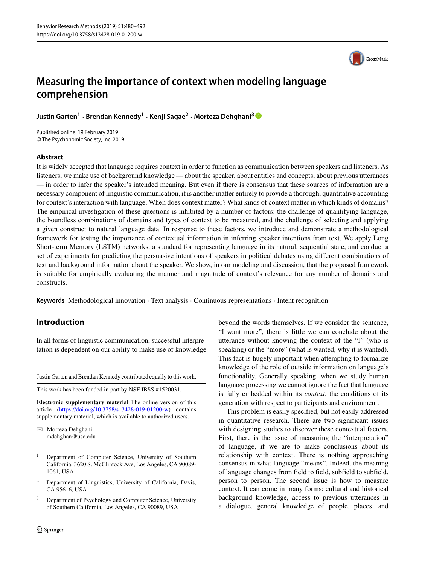

# **Measuring the importance of context when modeling language comprehension**

**Justin Garten<sup>1</sup> · Brendan Kennedy<sup>1</sup> · Kenji Sagae<sup>2</sup> · Morteza Dehghani<sup>3</sup>**

Published online: 19 February 2019 © The Psychonomic Society, Inc. 2019

## **Abstract**

It is widely accepted that language requires context in order to function as communication between speakers and listeners. As listeners, we make use of background knowledge — about the speaker, about entities and concepts, about previous utterances — in order to infer the speaker's intended meaning. But even if there is consensus that these sources of information are a necessary component of linguistic communication, it is another matter entirely to provide a thorough, quantitative accounting for context's interaction with language. When does context matter? What kinds of context matter in which kinds of domains? The empirical investigation of these questions is inhibited by a number of factors: the challenge of quantifying language, the boundless combinations of domains and types of context to be measured, and the challenge of selecting and applying a given construct to natural language data. In response to these factors, we introduce and demonstrate a methodological framework for testing the importance of contextual information in inferring speaker intentions from text. We apply Long Short-term Memory (LSTM) networks, a standard for representing language in its natural, sequential state, and conduct a set of experiments for predicting the persuasive intentions of speakers in political debates using different combinations of text and background information about the speaker. We show, in our modeling and discussion, that the proposed framework is suitable for empirically evaluating the manner and magnitude of context's relevance for any number of domains and constructs.

**Keywords** Methodological innovation · Text analysis · Continuous representations · Intent recognition

# **Introduction**

In all forms of linguistic communication, successful interpretation is dependent on our ability to make use of knowledge

Justin Garten and Brendan Kennedy contributed equally to this work.

This work has been funded in part by NSF IBSS #1520031.

**Electronic supplementary material** The online version of this article [\(https://doi.org/10.3758/s13428-019-01200-w\)](https://doi.org/10.3758/s13428-019-01200-w) contains supplementary material, which is available to authorized users.

- Morteza Dehghani [mdehghan@usc.edu](mailto: mdehghan@usc.edu)

- <sup>1</sup> Department of Computer Science, University of Southern California, 3620 S. McClintock Ave, Los Angeles, CA 90089- 1061, USA
- <sup>2</sup> Department of Linguistics, University of California, Davis, CA 95616, USA
- <sup>3</sup> Department of Psychology and Computer Science, University of Southern California, Los Angeles, CA 90089, USA

beyond the words themselves. If we consider the sentence, "I want more", there is little we can conclude about the utterance without knowing the context of the "I" (who is speaking) or the "more" (what is wanted, why it is wanted). This fact is hugely important when attempting to formalize knowledge of the role of outside information on language's functionality. Generally speaking, when we study human language processing we cannot ignore the fact that language is fully embedded within its *context*, the conditions of its generation with respect to participants and environment.

This problem is easily specified, but not easily addressed in quantitative research. There are two significant issues with designing studies to discover these contextual factors. First, there is the issue of measuring the "interpretation" of language, if we are to make conclusions about its relationship with context. There is nothing approaching consensus in what language "means". Indeed, the meaning of language changes from field to field, subfield to subfield, person to person. The second issue is how to measure context. It can come in many forms: cultural and historical background knowledge, access to previous utterances in a dialogue, general knowledge of people, places, and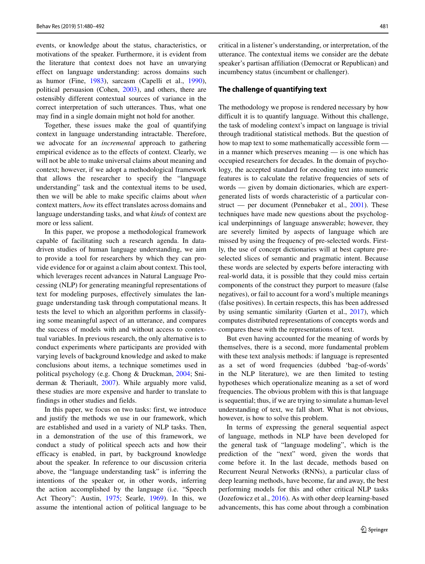events, or knowledge about the status, characteristics, or motivations of the speaker. Furthermore, it is evident from the literature that context does not have an unvarying effect on language understanding: across domains such as humor (Fine, [1983\)](#page-11-0), sarcasm (Capelli et al., [1990\)](#page-11-1), political persuasion (Cohen, [2003\)](#page-11-2), and others, there are ostensibly different contextual sources of variance in the correct interpretation of such utterances. Thus, what one may find in a single domain might not hold for another.

Together, these issues make the goal of quantifying context in language understanding intractable. Therefore, we advocate for an *incremental* approach to gathering empirical evidence as to the effects of context. Clearly, we will not be able to make universal claims about meaning and context; however, if we adopt a methodological framework that allows the researcher to specify the "language understanding" task and the contextual items to be used, then we will be able to make specific claims about *when* context matters, *how* its effect translates across domains and language understanding tasks, and what *kinds* of context are more or less salient.

In this paper, we propose a methodological framework capable of facilitating such a research agenda. In datadriven studies of human language understanding, we aim to provide a tool for researchers by which they can provide evidence for or against a claim about context. This tool, which leverages recent advances in Natural Language Processing (NLP) for generating meaningful representations of text for modeling purposes, effectively simulates the language understanding task through computational means. It tests the level to which an algorithm performs in classifying some meaningful aspect of an utterance, and compares the success of models with and without access to contextual variables. In previous research, the only alternative is to conduct experiments where participants are provided with varying levels of background knowledge and asked to make conclusions about items, a technique sometimes used in political psychology (e.g. Chong & Druckman, [2004;](#page-12-0) Sniderman & Theriault, [2007\)](#page-11-3). While arguably more valid, these studies are more expensive and harder to translate to findings in other studies and fields.

In this paper, we focus on two tasks: first, we introduce and justify the methods we use in our framework, which are established and used in a variety of NLP tasks. Then, in a demonstration of the use of this framework, we conduct a study of political speech acts and how their efficacy is enabled, in part, by background knowledge about the speaker. In reference to our discussion criteria above, the "language understanding task" is inferring the intentions of the speaker or, in other words, inferring the action accomplished by the language (i.e. "Speech Act Theory": Austin, [1975;](#page-11-4) Searle, [1969\)](#page-12-1). In this, we assume the intentional action of political language to be critical in a listener's understanding, or interpretation, of the utterance. The contextual items we consider are the debate speaker's partisan affiliation (Democrat or Republican) and incumbency status (incumbent or challenger).

#### **The challenge of quantifying text**

The methodology we propose is rendered necessary by how difficult it is to quantify language. Without this challenge, the task of modeling context's impact on language is trivial through traditional statistical methods. But the question of how to map text to some mathematically accessible form in a manner which preserves meaning — is one which has occupied researchers for decades. In the domain of psychology, the accepted standard for encoding text into numeric features is to calculate the relative frequencies of sets of words — given by domain dictionaries, which are expertgenerated lists of words characteristic of a particular construct — per document (Pennebaker et al., [2001\)](#page-12-2). These techniques have made new questions about the psychological underpinnings of language answerable; however, they are severely limited by aspects of language which are missed by using the frequency of pre-selected words. Firstly, the use of concept dictionaries will at best capture preselected slices of semantic and pragmatic intent. Because these words are selected by experts before interacting with real-world data, it is possible that they could miss certain components of the construct they purport to measure (false negatives), or fail to account for a word's multiple meanings (false positives). In certain respects, this has been addressed by using semantic similarity (Garten et al., [2017\)](#page-11-5), which computes distributed representations of concepts words and compares these with the representations of text.

But even having accounted for the meaning of words by themselves, there is a second, more fundamental problem with these text analysis methods: if language is represented as a set of word frequencies (dubbed 'bag-of-words' in the NLP literature), we are then limited to testing hypotheses which operationalize meaning as a set of word frequencies. The obvious problem with this is that language is sequential; thus, if we are trying to simulate a human-level understanding of text, we fall short. What is not obvious, however, is how to solve this problem.

In terms of expressing the general sequential aspect of language, methods in NLP have been developed for the general task of "language modeling", which is the prediction of the "next" word, given the words that come before it. In the last decade, methods based on Recurrent Neural Networks (RNNs), a particular class of deep learning methods, have become, far and away, the best performing models for this and other critical NLP tasks (Jozefowicz et al., [2016\)](#page-12-3). As with other deep learning-based advancements, this has come about through a combination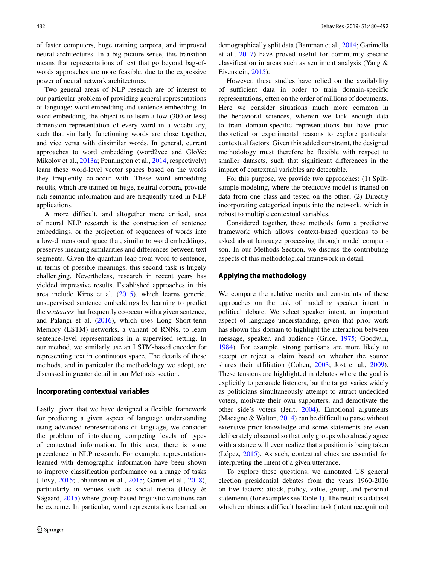of faster computers, huge training corpora, and improved neural architectures. In a big picture sense, this transition means that representations of text that go beyond bag-ofwords approaches are more feasible, due to the expressive power of neural network architectures.

Two general areas of NLP research are of interest to our particular problem of providing general representations of language: word embedding and sentence embedding. In word embedding, the object is to learn a low (300 or less) dimension representation of every word in a vocabulary, such that similarly functioning words are close together, and vice versa with dissimilar words. In general, current approaches to word embedding (word2vec and GloVe; Mikolov et al., [2013a;](#page-12-4) Pennington et al., [2014,](#page-12-5) respectively) learn these word-level vector spaces based on the words they frequently co-occur with. These word embedding results, which are trained on huge, neutral corpora, provide rich semantic information and are frequently used in NLP applications.

A more difficult, and altogether more critical, area of neural NLP research is the construction of sentence embeddings, or the projection of sequences of words into a low-dimensional space that, similar to word embeddings, preserves meaning similarities and differences between text segments. Given the quantum leap from word to sentence, in terms of possible meanings, this second task is hugely challenging. Nevertheless, research in recent years has yielded impressive results. Established approaches in this area include Kiros et al. [\(2015\)](#page-12-6), which learns generic, unsupervised sentence embeddings by learning to predict the *sentences* that frequently co-occur with a given sentence, and Palangi et al. [\(2016\)](#page-12-7), which uses Long Short-term Memory (LSTM) networks, a variant of RNNs, to learn sentence-level representations in a supervised setting. In our method, we similarly use an LSTM-based encoder for representing text in continuous space. The details of these methods, and in particular the methodology we adopt, are discussed in greater detail in our Methods section.

#### **Incorporating contextual variables**

Lastly, given that we have designed a flexible framework for predicting a given aspect of language understanding using advanced representations of language, we consider the problem of introducing competing levels of types of contextual information. In this area, there is some precedence in NLP research. For example, representations learned with demographic information have been shown to improve classification performance on a range of tasks (Hovy, [2015;](#page-12-8) Johannsen et al., [2015;](#page-12-9) Garten et al., [2018\)](#page-12-10), particularly in venues such as social media (Hovy & Søgaard, [2015\)](#page-12-11) where group-based linguistic variations can be extreme. In particular, word representations learned on demographically split data (Bamman et al., [2014;](#page-11-6) Garimella et al., [2017\)](#page-11-7) have proved useful for community-specific classification in areas such as sentiment analysis (Yang & Eisenstein, [2015\)](#page-12-12).

However, these studies have relied on the availability of sufficient data in order to train domain-specific representations, often on the order of millions of documents. Here we consider situations much more common in the behavioral sciences, wherein we lack enough data to train domain-specific representations but have prior theoretical or experimental reasons to explore particular contextual factors. Given this added constraint, the designed methodology must therefore be flexible with respect to smaller datasets, such that significant differences in the impact of contextual variables are detectable.

For this purpose, we provide two approaches: (1) Splitsample modeling, where the predictive model is trained on data from one class and tested on the other; (2) Directly incorporating categorical inputs into the network, which is robust to multiple contextual variables.

Considered together, these methods form a predictive framework which allows context-based questions to be asked about language processing through model comparison. In our Methods Section, we discuss the contributing aspects of this methodological framework in detail.

#### **Applying the methodology**

We compare the relative merits and constraints of these approaches on the task of modeling speaker intent in political debate. We select speaker intent, an important aspect of language understanding, given that prior work has shown this domain to highlight the interaction between message, speaker, and audience (Grice, [1975;](#page-12-13) Goodwin, [1984\)](#page-12-14). For example, strong partisans are more likely to accept or reject a claim based on whether the source shares their affiliation (Cohen, [2003;](#page-11-2) Jost et al., [2009\)](#page-12-15). These tensions are highlighted in debates where the goal is explicitly to persuade listeners, but the target varies widely as politicians simultaneously attempt to attract undecided voters, motivate their own supporters, and demotivate the other side's voters (Jerit, [2004\)](#page-12-16). Emotional arguments (Macagno & Walton, [2014\)](#page-12-17) can be difficult to parse without extensive prior knowledge and some statements are even deliberately obscured so that only groups who already agree with a stance will even realize that a position is being taken (López,  $2015$ ). As such, contextual clues are essential for interpreting the intent of a given utterance.

To explore these questions, we annotated US general election presidential debates from the years 1960-2016 on five factors: attack, policy, value, group, and personal statements (for examples see Table [1\)](#page-7-0). The result is a dataset which combines a difficult baseline task (intent recognition)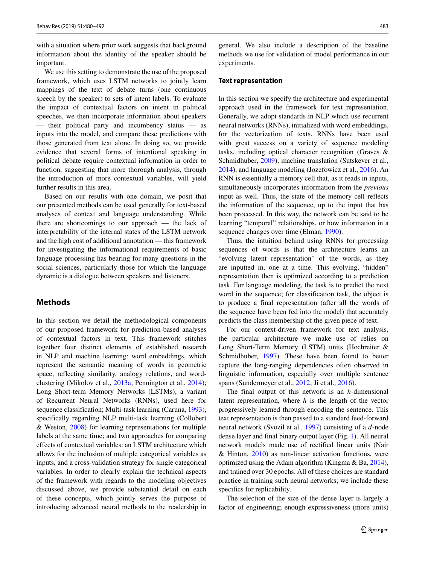with a situation where prior work suggests that background information about the identity of the speaker should be important.

We use this setting to demonstrate the use of the proposed framework, which uses LSTM networks to jointly learn mappings of the text of debate turns (one continuous speech by the speaker) to sets of intent labels. To evaluate the impact of contextual factors on intent in political speeches, we then incorporate information about speakers — their political party and incumbency status — as inputs into the model, and compare these predictions with those generated from text alone. In doing so, we provide evidence that several forms of intentional speaking in political debate require contextual information in order to function, suggesting that more thorough analysis, through the introduction of more contextual variables, will yield further results in this area.

Based on our results with one domain, we posit that our presented methods can be used generally for text-based analyses of context and language understanding. While there are shortcomings to our approach — the lack of interpretability of the internal states of the LSTM network and the high cost of additional annotation — this framework for investigating the informational requirements of basic language processing has bearing for many questions in the social sciences, particularly those for which the language dynamic is a dialogue between speakers and listeners.

## **Methods**

In this section we detail the methodological components of our proposed framework for prediction-based analyses of contextual factors in text. This framework stitches together four distinct elements of established research in NLP and machine learning: word embeddings, which represent the semantic meaning of words in geometric space, reflecting similarity, analogy relations, and wordclustering (Mikolov et al., [2013a;](#page-12-4) Pennington et al., [2014\)](#page-12-5); Long Short-term Memory Networks (LSTMs), a variant of Recurrent Neural Networks (RNNs), used here for sequence classification; Multi-task learning (Caruna, [1993\)](#page-11-8), specifically regarding NLP multi-task learning (Collobert & Weston, [2008\)](#page-11-9) for learning representations for multiple labels at the same time; and two approaches for comparing effects of contextual variables: an LSTM architecture which allows for the inclusion of multiple categorical variables as inputs, and a cross-validation strategy for single categorical variables. In order to clearly explain the technical aspects of the framework with regards to the modeling objectives discussed above, we provide substantial detail on each of these concepts, which jointly serves the purpose of introducing advanced neural methods to the readership in general. We also include a description of the baseline methods we use for validation of model performance in our experiments.

#### **Text representation**

In this section we specify the architecture and experimental approach used in the framework for text representation. Generally, we adopt standards in NLP which use recurrent neural networks (RNNs), initialized with word embeddings, for the vectorization of texts. RNNs have been used with great success on a variety of sequence modeling tasks, including optical character recognition (Graves & Schmidhuber, [2009\)](#page-12-19), machine translation (Sutskever et al., [2014\)](#page-12-20), and language modeling (Jozefowicz et al., [2016\)](#page-12-3). An RNN is essentially a memory cell that, as it reads in inputs, simultaneously incorporates information from the *previous* input as well. Thus, the state of the memory cell reflects the information of the sequence, up to the input that has been processed. In this way, the network can be said to be learning "temporal" relationships, or how information in a sequence changes over time (Elman, [1990\)](#page-11-10).

Thus, the intuition behind using RNNs for processing sequences of words is that the architecture learns an "evolving latent representation" of the words, as they are inputted in, one at a time. This evolving, "hidden" representation then is optimized according to a prediction task. For language modeling, the task is to predict the next word in the sequence; for classification task, the object is to produce a final representation (after all the words of the sequence have been fed into the model) that accurately predicts the class membership of the given piece of text.

For our context-driven framework for text analysis, the particular architecture we make use of relies on Long Short-Term Memory (LSTM) units (Hochreiter & Schmidhuber, [1997\)](#page-12-21). These have been found to better capture the long-ranging dependencies often observed in linguistic information, especially over multiple sentence spans (Sundermeyer et al., [2012;](#page-12-22) Ji et al., [2016\)](#page-12-23).

The final output of this network is an *h*-dimensional latent representation, where *h* is the length of the vector progressively learned through encoding the sentence. This text representation is then passed to a standard feed-forward neural network (Svozil et al., [1997\)](#page-12-24) consisting of a *d*-node dense layer and final binary output layer (Fig. [1\)](#page-4-0). All neural network models made use of rectified linear units (Nair  $& Hinton, 2010$  as non-linear activation functions, were optimized using the Adam algorithm (Kingma & Ba, [2014\)](#page-12-26), and trained over 30 epochs. All of these choices are standard practice in training such neural networks; we include these specifics for replicability.

The selection of the size of the dense layer is largely a factor of engineering; enough expressiveness (more units)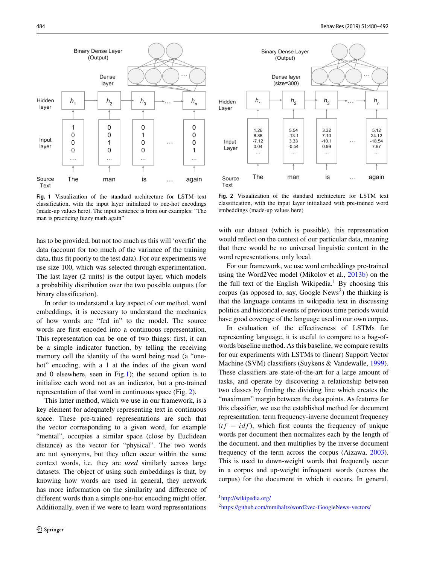<span id="page-4-0"></span>

**Fig. 1** Visualization of the standard architecture for LSTM text classification, with the input layer initialized to one-hot encodings (made-up values here). The input sentence is from our examples: "The man is practicing fuzzy math again"

has to be provided, but not too much as this will 'overfit' the data (account for too much of the variance of the training data, thus fit poorly to the test data). For our experiments we use size 100, which was selected through experimentation. The last layer (2 units) is the output layer, which models a probability distribution over the two possible outputs (for binary classification).

In order to understand a key aspect of our method, word embeddings, it is necessary to understand the mechanics of how words are "fed in" to the model. The source words are first encoded into a continuous representation. This representation can be one of two things: first, it can be a simple indicator function, by telling the receiving memory cell the identity of the word being read (a "onehot" encoding, with a 1 at the index of the given word and 0 elsewhere, seen in Fig[.1\)](#page-4-0); the second option is to initialize each word not as an indicator, but a pre-trained representation of that word in continuous space (Fig. [2\)](#page-4-1).

This latter method, which we use in our framework, is a key element for adequately representing text in continuous space. These pre-trained representations are such that the vector corresponding to a given word, for example "mental", occupies a similar space (close by Euclidean distance) as the vector for "physical". The two words are not synonyms, but they often occur within the same context words, i.e. they are *used* similarly across large datasets. The object of using such embeddings is that, by knowing how words are used in general, they network has more information on the similarity and difference of different words than a simple one-hot encoding might offer. Additionally, even if we were to learn word representations

<span id="page-4-1"></span>

**Fig. 2** Visualization of the standard architecture for LSTM text classification, with the input layer initialized with pre-trained word embeddings (made-up values here)

with our dataset (which is possible), this representation would reflect on the context of our particular data, meaning that there would be no universal linguistic content in the word representations, only local.

For our framework, we use word embeddings pre-trained using the Word2Vec model (Mikolov et al., [2013b\)](#page-12-27) on the the full text of the English Wikipedia.<sup>[1](#page-4-2)</sup> By choosing this corpus (as opposed to, say, Google News<sup>2</sup>) the thinking is that the language contains in wikipedia text in discussing politics and historical events of previous time periods would have good coverage of the language used in our own corpus.

In evaluation of the effectiveness of LSTMs for representing language, it is useful to compare to a bag-ofwords baseline method. As this baseline, we compare results for our experiments with LSTMs to (linear) Support Vector Machine (SVM) classifiers (Suykens & Vandewalle, [1999\)](#page-12-28). These classifiers are state-of-the-art for a large amount of tasks, and operate by discovering a relationship between two classes by finding the dividing line which creates the "maximum" margin between the data points. As features for this classifier, we use the established method for document representation: term frequency-inverse document frequency  $(tf - idf)$ , which first counts the frequency of unique words per document then normalizes each by the length of the document, and then multiplies by the inverse document frequency of the term across the corpus (Aizawa, [2003\)](#page-11-11). This is used to down-weight words that frequently occur in a corpus and up-weight infrequent words (across the corpus) for the document in which it occurs. In general,

<span id="page-4-3"></span><span id="page-4-2"></span>[2https://github.com/mmihaltz/word2vec-GoogleNews-vectors/](https://github.com/mmihaltz/word2vec-GoogleNews-vectors/)

[<sup>1</sup>http://wikipedia.org/](http://wikipedia.org/)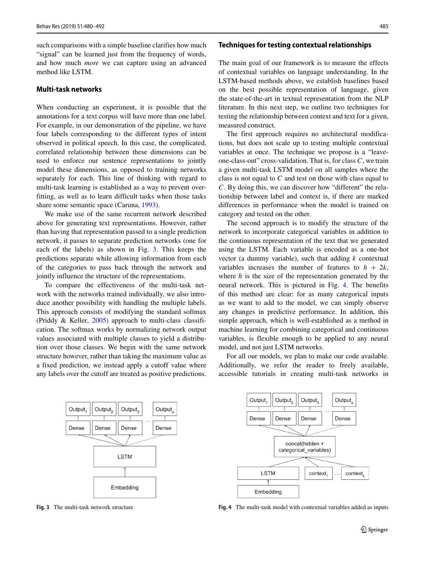such comparisons with a simple baseline clarifies how much "signal" can be learned just from the frequency of words, and how much *more* we can capture using an advanced method like LSTM.

#### **Multi-task networks**

When conducting an experiment, it is possible that the annotations for a text corpus will have more than one label. For example, in our demonstration of the pipeline, we have four labels corresponding to the different types of intent observed in political speech. In this case, the complicated, correlated relationship between these dimensions can be used to enforce our sentence representations to jointly model these dimensions, as opposed to training networks separately for each. This line of thinking with regard to multi-task learning is established as a way to prevent overfitting, as well as to learn difficult tasks when those tasks share some semantic space (Caruna, [1993\)](#page-11-8).

We make use of the same recurrent network described above for generating text representations. However, rather than having that representation passed to a single prediction network, it passes to separate prediction networks (one for each of the labels) as shown in Fig. [3.](#page-5-0) This keeps the predictions separate while allowing information from each of the categories to pass back through the network and jointly influence the structure of the representations.

To compare the effectiveness of the multi-task network with the networks trained individually, we also introduce another possibility with handling the multiple labels. This approach consists of modifying the standard softmax (Priddy & Keller, [2005\)](#page-12-29) approach to multi-class classification. The softmax works by normalizing network output values associated with multiple classes to yield a distribution over those classes. We begin with the same network structure however, rather than taking the maximum value as a fixed prediction, we instead apply a cutoff value where any labels over the cutoff are treated as positive predictions.

#### **Techniques for testing contextual relationships**

The main goal of our framework is to measure the effects of contextual variables on language understanding. In the LSTM-based methods above, we establish baselines based on the best possible representation of language, given the state-of-the-art in textual representation from the NLP literature. In this next step, we outline two techniques for testing the relationship between context and text for a given, measured construct.

The first approach requires no architectural modifications, but does not scale up to testing multiple contextual variables at once. The technique we propose is a "leaveone-class-out" cross-validation. That is, for class *C*, we train a given multi-task LSTM model on all samples where the class is not equal to *C* and test on those with class equal to *C*. By doing this, we can discover how "different" the relationship between label and context is, if there are marked differences in performance when the model is trained on category and tested on the other.

The second approach is to modify the structure of the network to incorporate categorical variables in addition to the continuous representation of the text that we generated using the LSTM. Each variable is encoded as a one-hot vector (a dummy variable), such that adding *k* contextual variables increases the number of features to  $h + 2k$ , where *h* is the size of the representation generated by the neural network. This is pictured in Fig. [4.](#page-5-1) The benefits of this method are clear: for as many categorical inputs as we want to add to the model, we can simply observe any changes in predictive performance. In addition, this simple approach, which is well-established as a method in machine learning for combining categorical and continuous variables, is flexible enough to be applied to any neural model, and not just LSTM networks.

For all our models, we plan to make our code available. Additionally, we refer the reader to freely available, accessible tutorials in creating multi-task networks in

<span id="page-5-0"></span>

**Fig. 3** The multi-task network structure

<span id="page-5-1"></span>

**Fig. 4** The multi-task model with contextual variables added as inputs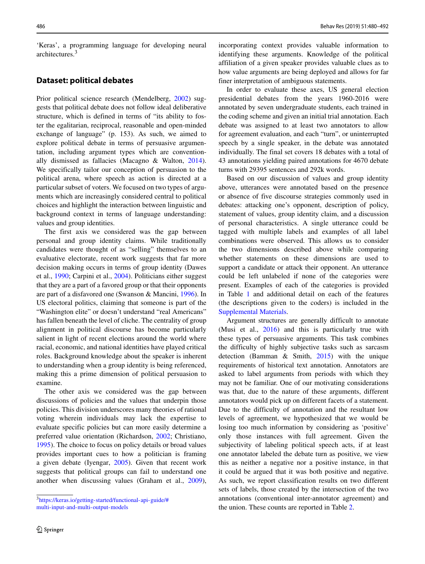'Keras', a programming language for developing neural architectures.<sup>3</sup>

## <span id="page-6-1"></span>**Dataset: political debates**

Prior political science research (Mendelberg, [2002\)](#page-12-30) suggests that political debate does not follow ideal deliberative structure, which is defined in terms of "its ability to foster the egalitarian, reciprocal, reasonable and open-minded exchange of language" (p. 153). As such, we aimed to explore political debate in terms of persuasive argumentation, including argument types which are conventionally dismissed as fallacies (Macagno & Walton, [2014\)](#page-12-17). We specifically tailor our conception of persuasion to the political arena, where speech as action is directed at a particular subset of voters. We focused on two types of arguments which are increasingly considered central to political choices and highlight the interaction between linguistic and background context in terms of language understanding: values and group identities.

The first axis we considered was the gap between personal and group identity claims. While traditionally candidates were thought of as "selling" themselves to an evaluative electorate, recent work suggests that far more decision making occurs in terms of group identity (Dawes et al., [1990;](#page-11-12) Carpini et al., [2004\)](#page-11-13). Politicians either suggest that they are a part of a favored group or that their opponents are part of a disfavored one (Swanson & Mancini, [1996\)](#page-12-31). In US electoral politics, claiming that someone is part of the "Washington elite" or doesn't understand "real Americans" has fallen beneath the level of cliche. The centrality of group alignment in political discourse has become particularly salient in light of recent elections around the world where racial, economic, and national identities have played critical roles. Background knowledge about the speaker is inherent to understanding when a group identity is being referenced, making this a prime dimension of political persuasion to examine.

The other axis we considered was the gap between discussions of policies and the values that underpin those policies. This division underscores many theories of rational voting wherein individuals may lack the expertise to evaluate specific policies but can more easily determine a preferred value orientation (Richardson, [2002;](#page-12-32) Christiano, [1995\)](#page-11-14). The choice to focus on policy details or broad values provides important cues to how a politician is framing a given debate (Iyengar, [2005\)](#page-12-33). Given that recent work suggests that political groups can fail to understand one another when discussing values (Graham et al., [2009\)](#page-12-34), incorporating context provides valuable information to identifying these arguments. Knowledge of the political affiliation of a given speaker provides valuable clues as to how value arguments are being deployed and allows for far finer interpretation of ambiguous statements.

In order to evaluate these axes, US general election presidential debates from the years 1960-2016 were annotated by seven undergraduate students, each trained in the coding scheme and given an initial trial annotation. Each debate was assigned to at least two annotators to allow for agreement evaluation, and each "turn", or uninterrupted speech by a single speaker, in the debate was annotated individually. The final set covers 18 debates with a total of 43 annotations yielding paired annotations for 4670 debate turns with 29395 sentences and 292k words.

Based on our discussion of values and group identity above, utterances were annotated based on the presence or absence of five discourse strategies commonly used in debates: attacking one's opponent, description of policy, statement of values, group identity claim, and a discussion of personal characteristics. A single utterance could be tagged with multiple labels and examples of all label combinations were observed. This allows us to consider the two dimensions described above while comparing whether statements on these dimensions are used to support a candidate or attack their opponent. An utterance could be left unlabeled if none of the categories were present. Examples of each of the categories is provided in Table [1](#page-7-0) and additional detail on each of the features (the descriptions given to the coders) is included in the Supplemental Materials.

Argument structures are generally difficult to annotate (Musi et al., [2016\)](#page-12-35) and this is particularly true with these types of persuasive arguments. This task combines the difficulty of highly subjective tasks such as sarcasm detection (Bamman & Smith, [2015\)](#page-11-15) with the unique requirements of historical text annotation. Annotators are asked to label arguments from periods with which they may not be familiar. One of our motivating considerations was that, due to the nature of these arguments, different annotators would pick up on different facets of a statement. Due to the difficulty of annotation and the resultant low levels of agreement, we hypothesized that we would be losing too much information by considering as 'positive' only those instances with full agreement. Given the subjectivity of labeling political speech acts, if at least one annotator labeled the debate turn as positive, we view this as neither a negative nor a positive instance, in that it could be argued that it was both positive and negative. As such, we report classification results on two different sets of labels, those created by the intersection of the two annotations (conventional inter-annotator agreement) and the union. These counts are reported in Table [2.](#page-7-1)

<span id="page-6-0"></span>[<sup>3</sup>https://keras.io/getting-started/functional-api-guide/#](https://keras.io/getting-started/functional-api-guide/#multi-input-and-multi-output-models) [multi-input-and-multi-output-models](https://keras.io/getting-started/functional-api-guide/#multi-input-and-multi-output-models)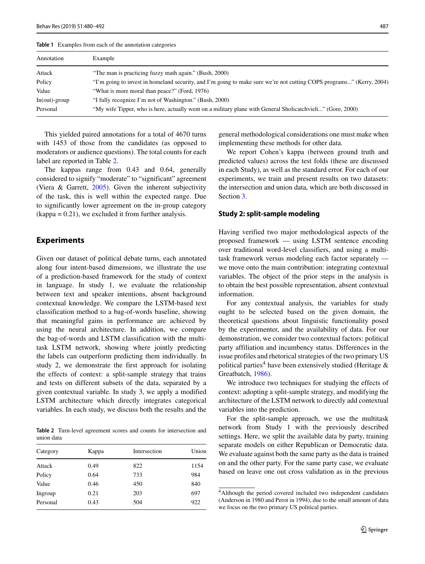| Annotation       | Example                                                                                                              |
|------------------|----------------------------------------------------------------------------------------------------------------------|
| Attack           | "The man is practicing fuzzy math again." (Bush, 2000)                                                               |
| Policy           | "I'm going to invest in homeland security, and I'm going to make sure we're not cutting COPS programs" (Kerry, 2004) |
| Value            | "What is more moral than peace?" (Ford, 1976)                                                                        |
| $In(out)$ -group | "I fully recognize I'm not of Washington." (Bush, 2000)                                                              |
| Personal         | "My wife Tipper, who is here, actually went on a military plane with General Sholicatchvieli" (Gore, 2000)           |

<span id="page-7-0"></span>**Table 1** Examples from each of the annotation categories

This yielded paired annotations for a total of 4670 turns with 1453 of those from the candidates (as opposed to moderators or audience questions). The total counts for each label are reported in Table [2.](#page-7-1)

The kappas range from 0.43 and 0.64, generally considered to signify "moderate" to "significant" agreement (Viera & Garrett,  $2005$ ). Given the inherent subjectivity of the task, this is well within the expected range. Due to significantly lower agreement on the in-group category (kappa = 0.21), we excluded it from further analysis.

## **Experiments**

Given our dataset of political debate turns, each annotated along four intent-based dimensions, we illustrate the use of a prediction-based framework for the study of context in language. In study 1, we evaluate the relationship between text and speaker intentions, absent background contextual knowledge. We compare the LSTM-based text classification method to a bag-of-words baseline, showing that meaningful gains in performance are achieved by using the neural architecture. In addition, we compare the bag-of-words and LSTM classification with the multitask LSTM network, showing where jointly predicting the labels can outperform predicting them individually. In study 2, we demonstrate the first approach for isolating the effects of context: a split-sample strategy that trains and tests on different subsets of the data, separated by a given contextual variable. In study 3, we apply a modified LSTM architecture which directly integrates categorical variables. In each study, we discuss both the results and the

<span id="page-7-1"></span>**Table 2** Turn-level agreement scores and counts for intersection and union data

| Category | Kappa | Intersection | Union |  |
|----------|-------|--------------|-------|--|
| Attack   | 0.49  | 822          | 1154  |  |
| Policy   | 0.64  | 733          | 984   |  |
| Value    | 0.46  | 450          | 840   |  |
| Ingroup  | 0.21  | 203          | 697   |  |
| Personal | 0.43  | 504          | 922   |  |

general methodological considerations one must make when implementing these methods for other data.

We report Cohen's kappa (between ground truth and predicted values) across the test folds (these are discussed in each Study), as well as the standard error. For each of our experiments, we train and present results on two datasets: the intersection and union data, which are both discussed in Section [3.](#page-6-1)

#### **Study 2: split-sample modeling**

Having verified two major methodological aspects of the proposed framework — using LSTM sentence encoding over traditional word-level classifiers, and using a multitask framework versus modeling each factor separately we move onto the main contribution: integrating contextual variables. The object of the prior steps in the analysis is to obtain the best possible representation, absent contextual information.

For any contextual analysis, the variables for study ought to be selected based on the given domain, the theoretical questions about linguistic functionality posed by the experimenter, and the availability of data. For our demonstration, we consider two contextual factors: political party affiliation and incumbency status. Differences in the issue profiles and rhetorical strategies of the two primary US political parties<sup>[4](#page-7-2)</sup> have been extensively studied (Heritage  $\&$ Greatbatch, [1986\)](#page-12-37).

We introduce two techniques for studying the effects of context: adopting a split-sample strategy, and modifying the architecture of the LSTM network to directly add contextual variables into the prediction.

For the split-sample approach, we use the multitask network from Study 1 with the previously described settings. Here, we split the available data by party, training separate models on either Republican or Democratic data. We evaluate against both the same party as the data is trained on and the other party. For the same party case, we evaluate based on leave one out cross validation as in the previous

<span id="page-7-2"></span><sup>4</sup>Although the period covered included two independent candidates (Anderson in 1980 and Perot in 1994), due to the small amount of data we focus on the two primary US political parties.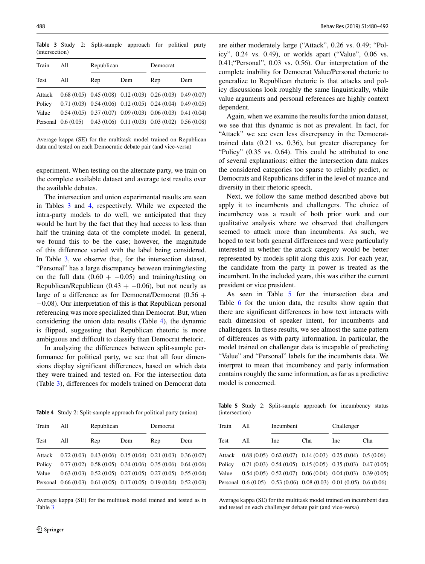<span id="page-8-0"></span>**Table 3** Study 2: Split-sample approach for political party (intersection)

| Train  | All | Republican |                                                                     | Democrat |     |
|--------|-----|------------|---------------------------------------------------------------------|----------|-----|
| Test   | All | Rep        | Dem                                                                 | Rep      | Dem |
| Attack |     |            | $0.68(0.05)$ $0.45(0.08)$ $0.12(0.03)$ $0.26(0.03)$ $0.49(0.07)$    |          |     |
| Policy |     |            | $0.71(0.03)$ $0.54(0.06)$ $0.12(0.05)$ $0.24(0.04)$ $0.49(0.05)$    |          |     |
| Value  |     |            | $0.54(0.05)$ $0.37(0.07)$ $0.09(0.03)$ $0.06(0.03)$ $0.41(0.04)$    |          |     |
|        |     |            | Personal 0.6 (0.05) 0.43 (0.06) 0.11 (0.03) 0.03 (0.02) 0.56 (0.08) |          |     |
|        |     |            |                                                                     |          |     |

Average kappa (SE) for the multitask model trained on Republican data and tested on each Democratic debate pair (and vice-versa)

experiment. When testing on the alternate party, we train on the complete available dataset and average test results over the available debates.

The intersection and union experimental results are seen in Tables [3](#page-8-0) and [4,](#page-8-1) respectively. While we expected the intra-party models to do well, we anticipated that they would be hurt by the fact that they had access to less than half the training data of the complete model. In general, we found this to be the case; however, the magnitude of this difference varied with the label being considered. In Table [3,](#page-8-0) we observe that, for the intersection dataset, "Personal" has a large discrepancy between training/testing on the full data  $(0.60 + -0.05)$  and training/testing on Republican/Republican  $(0.43 + -0.06)$ , but not nearly as large of a difference as for Democrat/Democrat  $(0.56 +$ −0.08). Our interpretation of this is that Republican personal referencing was more specialized than Democrat. But, when considering the union data results (Table [4\)](#page-8-1), the dynamic is flipped, suggesting that Republican rhetoric is more ambiguous and difficult to classify than Democrat rhetoric.

In analyzing the differences between split-sample performance for political party, we see that all four dimensions display significant differences, based on which data they were trained and tested on. For the intersection data (Table [3\)](#page-8-0), differences for models trained on Democrat data

<span id="page-8-1"></span>**Table 4** Study 2: Split-sample approach for political party (union)

| Train  | All | Republican |                                                                      | Democrat |     |
|--------|-----|------------|----------------------------------------------------------------------|----------|-----|
| Test   | All | Rep        | Dem                                                                  | Rep      | Dem |
| Attack |     |            | $0.72(0.03)$ $0.43(0.06)$ $0.15(0.04)$ $0.21(0.03)$ $0.36(0.07)$     |          |     |
| Policy |     |            | $0.77(0.02)$ $0.58(0.05)$ $0.34(0.06)$ $0.35(0.06)$ $0.64(0.06)$     |          |     |
| Value  |     |            | $0.63(0.03)$ $0.52(0.05)$ $0.27(0.05)$ $0.27(0.05)$ $0.55(0.04)$     |          |     |
|        |     |            | Personal 0.66 (0.03) 0.61 (0.05) 0.17 (0.05) 0.19 (0.04) 0.52 (0.03) |          |     |

Average kappa (SE) for the multitask model trained and tested as in Table [3](#page-8-0)

are either moderately large ("Attack", 0.26 vs. 0.49; "Policy", 0.24 vs. 0.49), or worlds apart ("Value", 0.06 vs. 0.41;"Personal", 0.03 vs. 0.56). Our interpretation of the complete inability for Democrat Value/Personal rhetoric to generalize to Republican rhetoric is that attacks and policy discussions look roughly the same linguistically, while value arguments and personal references are highly context dependent.

Again, when we examine the results for the union dataset, we see that this dynamic is not as prevalent. In fact, for "Attack" we see even less discrepancy in the Democrattrained data (0.21 vs. 0.36), but greater discrepancy for "Policy" (0.35 vs. 0.64). This could be attributed to one of several explanations: either the intersection data makes the considered categories too sparse to reliably predict, or Democrats and Republicans differ in the level of nuance and diversity in their rhetoric speech.

Next, we follow the same method described above but apply it to incumbents and challengers. The choice of incumbency was a result of both prior work and our qualitative analysis where we observed that challengers seemed to attack more than incumbents. As such, we hoped to test both general differences and were particularly interested in whether the attack category would be better represented by models split along this axis. For each year, the candidate from the party in power is treated as the incumbent. In the included years, this was either the current president or vice president.

As seen in Table [5](#page-8-2) for the intersection data and Table [6](#page-9-0) for the union data, the results show again that there are significant differences in how text interacts with each dimension of speaker intent, for incumbents and challengers. In these results, we see almost the same pattern of differences as with party information. In particular, the model trained on challenger data is incapable of predicting "Value" and "Personal" labels for the incumbents data. We interpret to mean that incumbency and party information contains roughly the same information, as far as a predictive model is concerned.

<span id="page-8-2"></span>**Table 5** Study 2: Split-sample approach for incumbency status (intersection)

| Train  | All | Incumbent |     | Challenger                                                              |     |
|--------|-----|-----------|-----|-------------------------------------------------------------------------|-----|
| Test   | All | Inc.      | Cha | <b>Inc</b>                                                              | Cha |
| Attack |     |           |     | $0.68(0.05)$ $0.62(0.07)$ $0.14(0.03)$ $0.25(0.04)$ $0.5(0.06)$         |     |
| Policy |     |           |     | $0.71(0.03)$ $0.54(0.05)$ $0.15(0.05)$ $0.35(0.03)$ $0.47(0.05)$        |     |
| Value  |     |           |     | $0.54(0.05)$ $0.52(0.07)$ $0.06(0.04)$ $0.04(0.03)$ $0.39(0.05)$        |     |
|        |     |           |     | Personal $0.6(0.05)$ $0.53(0.06)$ $0.08(0.03)$ $0.01(0.05)$ $0.6(0.06)$ |     |
|        |     |           |     |                                                                         |     |

Average kappa (SE) for the multitask model trained on incumbent data and tested on each challenger debate pair (and vice-versa)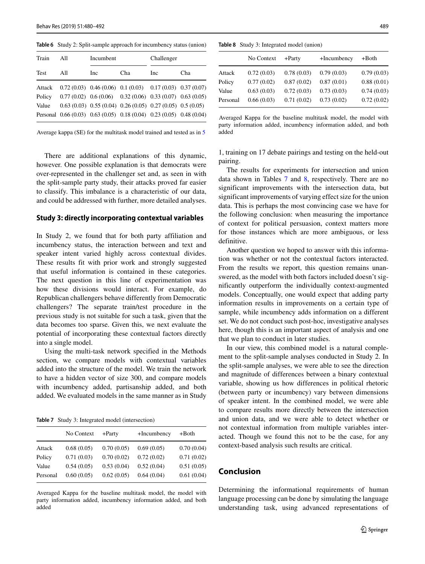<span id="page-9-0"></span>**Table 6** Study 2: Split-sample approach for incumbency status (union)

| Train  | All | Incumbent |                                                                      | Challenger |     |
|--------|-----|-----------|----------------------------------------------------------------------|------------|-----|
| Test   | All | Inc.      | Cha                                                                  | <b>Inc</b> | Cha |
| Attack |     |           | $0.72(0.03)$ $0.46(0.06)$ $0.1(0.03)$ $0.17(0.03)$ $0.37(0.07)$      |            |     |
| Policy |     |           | $0.77(0.02)$ $0.6(0.06)$ $0.32(0.06)$ $0.33(0.07)$ $0.63(0.05)$      |            |     |
| Value  |     |           | $0.63(0.03)$ $0.55(0.04)$ $0.26(0.05)$ $0.27(0.05)$ $0.5(0.05)$      |            |     |
|        |     |           | Personal 0.66 (0.03) 0.63 (0.05) 0.18 (0.04) 0.23 (0.05) 0.48 (0.04) |            |     |

Average kappa (SE) for the multitask model trained and tested as in [5](#page-8-2)

There are additional explanations of this dynamic, however. One possible explanation is that democrats were over-represented in the challenger set and, as seen in with the split-sample party study, their attacks proved far easier to classify. This imbalance is a characteristic of our data, and could be addressed with further, more detailed analyses.

#### **Study 3: directly incorporating contextual variables**

In Study 2, we found that for both party affiliation and incumbency status, the interaction between and text and speaker intent varied highly across contextual divides. These results fit with prior work and strongly suggested that useful information is contained in these categories. The next question in this line of experimentation was how these divisions would interact. For example, do Republican challengers behave differently from Democratic challengers? The separate train/test procedure in the previous study is not suitable for such a task, given that the data becomes too sparse. Given this, we next evaluate the potential of incorporating these contextual factors directly into a single model.

Using the multi-task network specified in the Methods section, we compare models with contextual variables added into the structure of the model. We train the network to have a hidden vector of size 300, and compare models with incumbency added, partisanship added, and both added. We evaluated models in the same manner as in Study

<span id="page-9-1"></span>**Table 7** Study 3: Integrated model (intersection)

|          | No Context | $+$ Party  | +Incumbency | $+Both$    |
|----------|------------|------------|-------------|------------|
| Attack   | 0.68(0.05) | 0.70(0.05) | 0.69(0.05)  | 0.70(0.04) |
| Policy   | 0.71(0.03) | 0.70(0.02) | 0.72(0.02)  | 0.71(0.02) |
| Value    | 0.54(0.05) | 0.53(0.04) | 0.52(0.04)  | 0.51(0.05) |
| Personal | 0.60(0.05) | 0.62(0.05) | 0.64(0.04)  | 0.61(0.04) |
|          |            |            |             |            |

Averaged Kappa for the baseline multitask model, the model with party information added, incumbency information added, and both added

<span id="page-9-2"></span>**Table 8** Study 3: Integrated model (union)

|          | No Context | $+$ Party  | +Incumbency | $+Both$    |
|----------|------------|------------|-------------|------------|
| Attack   | 0.72(0.03) | 0.78(0.03) | 0.79(0.03)  | 0.79(0.03) |
| Policy   | 0.77(0.02) | 0.87(0.02) | 0.87(0.01)  | 0.88(0.01) |
| Value    | 0.63(0.03) | 0.72(0.03) | 0.73(0.03)  | 0.74(0.03) |
| Personal | 0.66(0.03) | 0.71(0.02) | 0.73(0.02)  | 0.72(0.02) |
|          |            |            |             |            |

Averaged Kappa for the baseline multitask model, the model with party information added, incumbency information added, and both added

1, training on 17 debate pairings and testing on the held-out pairing.

The results for experiments for intersection and union data shown in Tables [7](#page-9-1) and [8,](#page-9-2) respectively. There are no significant improvements with the intersection data, but significant improvements of varying effect size for the union data. This is perhaps the most convincing case we have for the following conclusion: when measuring the importance of context for political persuasion, context matters more for those instances which are more ambiguous, or less definitive.

Another question we hoped to answer with this information was whether or not the contextual factors interacted. From the results we report, this question remains unanswered, as the model with both factors included doesn't significantly outperform the individually context-augmented models. Conceptually, one would expect that adding party information results in improvements on a certain type of sample, while incumbency adds information on a different set. We do not conduct such post-hoc, investigative analyses here, though this is an important aspect of analysis and one that we plan to conduct in later studies.

In our view, this combined model is a natural complement to the split-sample analyses conducted in Study 2. In the split-sample analyses, we were able to see the direction and magnitude of differences between a binary contextual variable, showing us how differences in political rhetoric (between party or incumbency) vary between dimensions of speaker intent. In the combined model, we were able to compare results more directly between the intersection and union data, and we were able to detect whether or not contextual information from multiple variables interacted. Though we found this not to be the case, for any context-based analysis such results are critical.

## **Conclusion**

Determining the informational requirements of human language processing can be done by simulating the language understanding task, using advanced representations of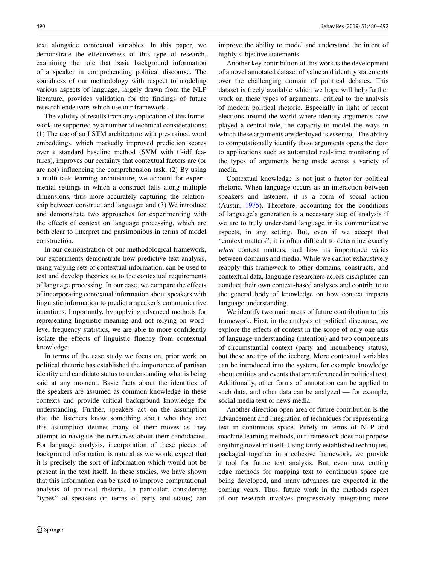text alongside contextual variables. In this paper, we demonstrate the effectiveness of this type of research, examining the role that basic background information of a speaker in comprehending political discourse. The soundness of our methodology with respect to modeling various aspects of language, largely drawn from the NLP literature, provides validation for the findings of future research endeavors which use our framework.

The validity of results from any application of this framework are supported by a number of technical considerations: (1) The use of an LSTM architecture with pre-trained word embeddings, which markedly improved prediction scores over a standard baseline method (SVM with tf-idf features), improves our certainty that contextual factors are (or are not) influencing the comprehension task; (2) By using a multi-task learning architecture, we account for experimental settings in which a construct falls along multiple dimensions, thus more accurately capturing the relationship between construct and language; and (3) We introduce and demonstrate two approaches for experimenting with the effects of context on language processing, which are both clear to interpret and parsimonious in terms of model construction.

In our demonstration of our methodological framework, our experiments demonstrate how predictive text analysis, using varying sets of contextual information, can be used to test and develop theories as to the contextual requirements of language processing. In our case, we compare the effects of incorporating contextual information about speakers with linguistic information to predict a speaker's communicative intentions. Importantly, by applying advanced methods for representing linguistic meaning and not relying on wordlevel frequency statistics, we are able to more confidently isolate the effects of linguistic fluency from contextual knowledge.

In terms of the case study we focus on, prior work on political rhetoric has established the importance of partisan identity and candidate status to understanding what is being said at any moment. Basic facts about the identities of the speakers are assumed as common knowledge in these contexts and provide critical background knowledge for understanding. Further, speakers act on the assumption that the listeners know something about who they are; this assumption defines many of their moves as they attempt to navigate the narratives about their candidacies. For language analysis, incorporation of these pieces of background information is natural as we would expect that it is precisely the sort of information which would not be present in the text itself. In these studies, we have shown that this information can be used to improve computational analysis of political rhetoric. In particular, considering "types" of speakers (in terms of party and status) can improve the ability to model and understand the intent of highly subjective statements.

Another key contribution of this work is the development of a novel annotated dataset of value and identity statements over the challenging domain of political debates. This dataset is freely available which we hope will help further work on these types of arguments, critical to the analysis of modern political rhetoric. Especially in light of recent elections around the world where identity arguments have played a central role, the capacity to model the ways in which these arguments are deployed is essential. The ability to computationally identify these arguments opens the door to applications such as automated real-time monitoring of the types of arguments being made across a variety of media.

Contextual knowledge is not just a factor for political rhetoric. When language occurs as an interaction between speakers and listeners, it is a form of social action (Austin, [1975\)](#page-11-4). Therefore, accounting for the conditions of language's generation is a necessary step of analysis if we are to truly understand language in its communicative aspects, in any setting. But, even if we accept that "context matters", it is often difficult to determine exactly *when* context matters, and how its importance varies between domains and media. While we cannot exhaustively reapply this framework to other domains, constructs, and contextual data, language researchers across disciplines can conduct their own context-based analyses and contribute to the general body of knowledge on how context impacts language understanding.

We identify two main areas of future contribution to this framework. First, in the analysis of political discourse, we explore the effects of context in the scope of only one axis of language understanding (intention) and two components of circumstantial context (party and incumbency status), but these are tips of the iceberg. More contextual variables can be introduced into the system, for example knowledge about entities and events that are referenced in political text. Additionally, other forms of annotation can be applied to such data, and other data can be analyzed — for example, social media text or news media.

Another direction open area of future contribution is the advancement and integration of techniques for representing text in continuous space. Purely in terms of NLP and machine learning methods, our framework does not propose anything novel in itself. Using fairly established techniques, packaged together in a cohesive framework, we provide a tool for future text analysis. But, even now, cutting edge methods for mapping text to continuous space are being developed, and many advances are expected in the coming years. Thus, future work in the methods aspect of our research involves progressively integrating more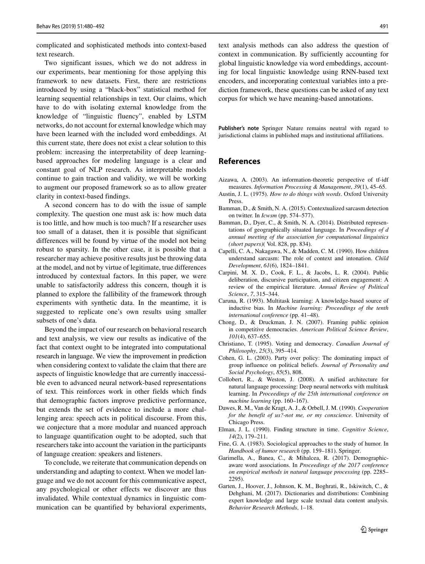complicated and sophisticated methods into context-based text research.

Two significant issues, which we do not address in our experiments, bear mentioning for those applying this framework to new datasets. First, there are restrictions introduced by using a "black-box" statistical method for learning sequential relationships in text. Our claims, which have to do with isolating external knowledge from the knowledge of "linguistic fluency", enabled by LSTM networks, do not account for external knowledge which may have been learned with the included word embeddings. At this current state, there does not exist a clear solution to this problem: increasing the interpretability of deep learningbased approaches for modeling language is a clear and constant goal of NLP research. As interpretable models continue to gain traction and validity, we will be working to augment our proposed framework so as to allow greater clarity in context-based findings.

A second concern has to do with the issue of sample complexity. The question one must ask is: how much data is too little, and how much is too much? If a researcher uses too small of a dataset, then it is possible that significant differences will be found by virtue of the model not being robust to sparsity. In the other case, it is possible that a researcher may achieve positive results just be throwing data at the model, and not by virtue of legitimate, true differences introduced by contextual factors. In this paper, we were unable to satisfactorily address this concern, though it is planned to explore the fallibility of the framework through experiments with synthetic data. In the meantime, it is suggested to replicate one's own results using smaller subsets of one's data.

Beyond the impact of our research on behavioral research and text analysis, we view our results as indicative of the fact that context ought to be integrated into computational research in language. We view the improvement in prediction when considering context to validate the claim that there are aspects of linguistic knowledge that are currently inaccessible even to advanced neural network-based representations of text. This reinforces work in other fields which finds that demographic factors improve predictive performance, but extends the set of evidence to include a more challenging area: speech acts in political discourse. From this, we conjecture that a more modular and nuanced approach to language quantification ought to be adopted, such that researchers take into account the variation in the participants of language creation: speakers and listeners.

To conclude, we reiterate that communication depends on understanding and adapting to context. When we model language and we do not account for this communicative aspect, any psychological or other effects we discover are thus invalidated. While contextual dynamics in linguistic communication can be quantified by behavioral experiments,

text analysis methods can also address the question of context in communication. By sufficiently accounting for global linguistic knowledge via word embeddings, accounting for local linguistic knowledge using RNN-based text encoders, and incorporating contextual variables into a prediction framework, these questions can be asked of any text corpus for which we have meaning-based annotations.

**Publisher's note** Springer Nature remains neutral with regard to jurisdictional claims in published maps and institutional affiliations.

### **References**

- <span id="page-11-11"></span>Aizawa, A. (2003). An information-theoretic perspective of tf-idf measures. *Information Processing & Management*, *39*(1), 45–65.
- <span id="page-11-4"></span>Austin, J. L. (1975). *How to do things with words*. Oxford University Press.
- <span id="page-11-15"></span>Bamman, D., & Smith, N. A. (2015). Contextualized sarcasm detection on twitter. In *Icwsm* (pp. 574–577).
- <span id="page-11-6"></span>Bamman, D., Dyer, C., & Smith, N. A. (2014). Distributed representations of geographically situated language. In *Proceedings of d annual meeting of the association for computational linguistics (short papers)*( Vol. 828, pp. 834).
- <span id="page-11-1"></span>Capelli, C. A., Nakagawa, N., & Madden, C. M. (1990). How children understand sarcasm: The role of context and intonation. *Child Development*, *61*(6), 1824–1841.
- <span id="page-11-13"></span>Carpini, M. X. D., Cook, F. L., & Jacobs, L. R. (2004). Public deliberation, discursive participation, and citizen engagement: A review of the empirical literature. *Annual Review of Political Science*, *7*, 315–344.
- <span id="page-11-8"></span>Caruna, R. (1993). Multitask learning: A knowledge-based source of inductive bias. In *Machine learning: Proceedings of the tenth international conference* (pp. 41–48).
- <span id="page-11-3"></span>Chong, D., & Druckman, J. N. (2007). Framing public opinion in competitive democracies. *American Political Science Review*, *101*(4), 637–655.
- <span id="page-11-14"></span>Christiano, T. (1995). Voting and democracy. *Canadian Journal of Philosophy*, *25*(3), 395–414.
- <span id="page-11-2"></span>Cohen, G. L. (2003). Party over policy: The dominating impact of group influence on political beliefs. *Journal of Personality and Social Psychology*, *85*(5), 808.
- <span id="page-11-9"></span>Collobert, R., & Weston, J. (2008). A unified architecture for natural language processing: Deep neural networks with multitask learning. In *Proceedings of the 25th international conference on machine learning* (pp. 160–167).
- <span id="page-11-12"></span>Dawes, R. M., Van de Kragt, A. J., & Orbell, J. M. (1990). *Cooperation for the benefit of us?-not me, or my conscience*. University of Chicago Press.
- <span id="page-11-10"></span>Elman, J. L. (1990). Finding structure in time. *Cognitive Science*, *14*(2), 179–211.
- <span id="page-11-0"></span>Fine, G. A. (1983). Sociological approaches to the study of humor. In *Handbook of humor research* (pp. 159–181). Springer.
- <span id="page-11-7"></span>Garimella, A., Banea, C., & Mihalcea, R. (2017). Demographicaware word associations. In *Proceedings of the 2017 conference on empirical methods in natural language processing* (pp. 2285– 2295).
- <span id="page-11-5"></span>Garten, J., Hoover, J., Johnson, K. M., Boghrati, R., Iskiwitch, C., & Dehghani, M. (2017). Dictionaries and distributions: Combining expert knowledge and large scale textual data content analysis. *Behavior Research Methods*, 1–18.